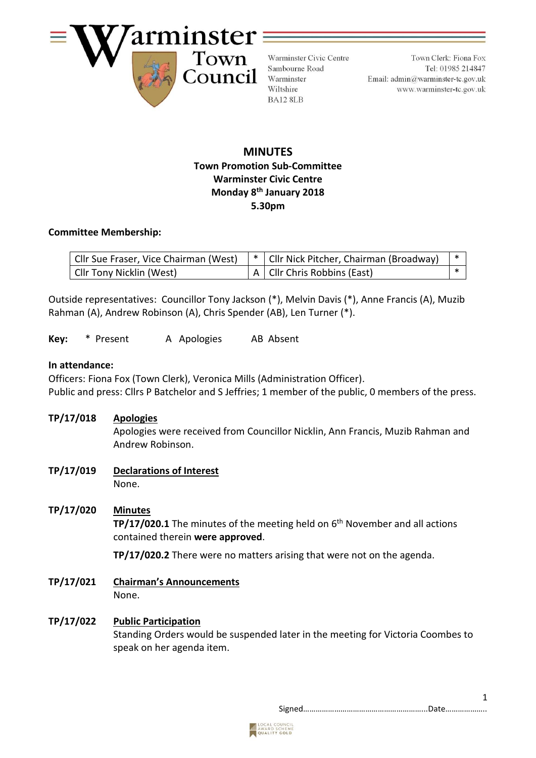

Warminster Civic Centre Sambourne Road Warminster Wiltshire BA12 8LB

Town Clerk: Fiona Fox Tel: 01985 214847 Email: admin@warminster-tc.gov.uk www.warminster-tc.gov.uk

# **MINUTES Town Promotion Sub-Committee Warminster Civic Centre Monday 8 th January 2018 5.30pm**

#### **Committee Membership:**

| Cllr Sue Fraser, Vice Chairman (West) | *   Cllr Nick Pitcher, Chairman (Broadway) |  |
|---------------------------------------|--------------------------------------------|--|
| Cllr Tony Nicklin (West)              | A   Cllr Chris Robbins (East)              |  |

Outside representatives: Councillor Tony Jackson (\*), Melvin Davis (\*), Anne Francis (A), Muzib Rahman (A), Andrew Robinson (A), Chris Spender (AB), Len Turner (\*).

Key: \* Present A Apologies AB Absent

#### **In attendance:**

Officers: Fiona Fox (Town Clerk), Veronica Mills (Administration Officer). Public and press: Cllrs P Batchelor and S Jeffries; 1 member of the public, 0 members of the press.

**TP/17/018 Apologies**

Apologies were received from Councillor Nicklin, Ann Francis, Muzib Rahman and Andrew Robinson.

**TP/17/019 Declarations of Interest** None.

# **TP/17/020 Minutes**

**TP/17/020.1** The minutes of the meeting held on 6<sup>th</sup> November and all actions contained therein **were approved**.

**TP/17/020.2** There were no matters arising that were not on the agenda.

**TP/17/021 Chairman's Announcements** None.

# **TP/17/022 Public Participation**

Standing Orders would be suspended later in the meeting for Victoria Coombes to speak on her agenda item.

Signed…………………………………………………...Date………………..

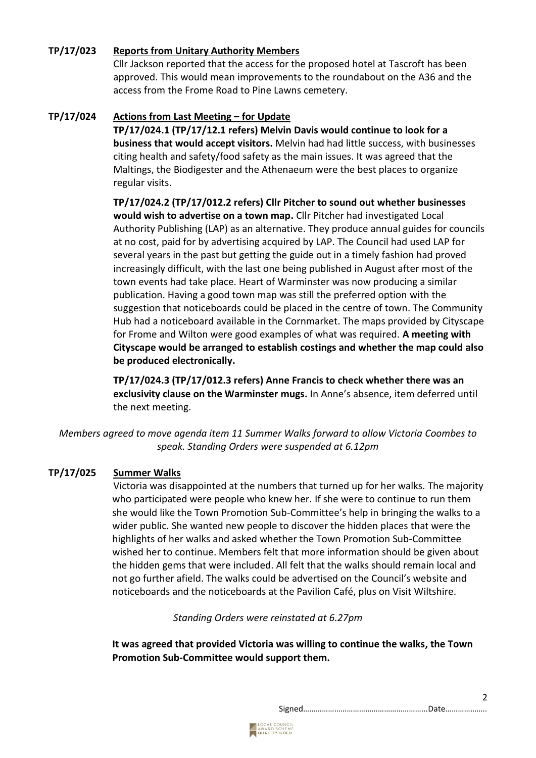# **TP/17/023 Reports from Unitary Authority Members**

Cllr Jackson reported that the access for the proposed hotel at Tascroft has been approved. This would mean improvements to the roundabout on the A36 and the access from the Frome Road to Pine Lawns cemetery.

### **TP/17/024 Actions from Last Meeting – for Update**

**TP/17/024.1 (TP/17/12.1 refers) Melvin Davis would continue to look for a business that would accept visitors.** Melvin had had little success, with businesses citing health and safety/food safety as the main issues. It was agreed that the Maltings, the Biodigester and the Athenaeum were the best places to organize regular visits.

**TP/17/024.2 (TP/17/012.2 refers) Cllr Pitcher to sound out whether businesses would wish to advertise on a town map.** Cllr Pitcher had investigated Local Authority Publishing (LAP) as an alternative. They produce annual guides for councils at no cost, paid for by advertising acquired by LAP. The Council had used LAP for several years in the past but getting the guide out in a timely fashion had proved increasingly difficult, with the last one being published in August after most of the town events had take place. Heart of Warminster was now producing a similar publication. Having a good town map was still the preferred option with the suggestion that noticeboards could be placed in the centre of town. The Community Hub had a noticeboard available in the Cornmarket. The maps provided by Cityscape for Frome and Wilton were good examples of what was required. **A meeting with Cityscape would be arranged to establish costings and whether the map could also be produced electronically.**

**TP/17/024.3 (TP/17/012.3 refers) Anne Francis to check whether there was an exclusivity clause on the Warminster mugs.** In Anne's absence, item deferred until the next meeting.

*Members agreed to move agenda item 11 Summer Walks forward to allow Victoria Coombes to speak. Standing Orders were suspended at 6.12pm*

# **TP/17/025 Summer Walks**

Victoria was disappointed at the numbers that turned up for her walks. The majority who participated were people who knew her. If she were to continue to run them she would like the Town Promotion Sub-Committee's help in bringing the walks to a wider public. She wanted new people to discover the hidden places that were the highlights of her walks and asked whether the Town Promotion Sub-Committee wished her to continue. Members felt that more information should be given about the hidden gems that were included. All felt that the walks should remain local and not go further afield. The walks could be advertised on the Council's website and noticeboards and the noticeboards at the Pavilion Café, plus on Visit Wiltshire.

*Standing Orders were reinstated at 6.27pm*

**It was agreed that provided Victoria was willing to continue the walks, the Town Promotion Sub-Committee would support them.**

Signed…………………………………………………...Date………………..